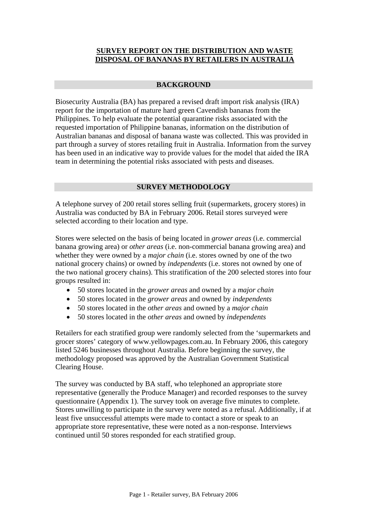# **SURVEY REPORT ON THE DISTRIBUTION AND WASTE DISPOSAL OF BANANAS BY RETAILERS IN AUSTRALIA**

## **BACKGROUND**

Biosecurity Australia (BA) has prepared a revised draft import risk analysis (IRA) report for the importation of mature hard green Cavendish bananas from the Philippines. To help evaluate the potential quarantine risks associated with the requested importation of Philippine bananas, information on the distribution of Australian bananas and disposal of banana waste was collected. This was provided in part through a survey of stores retailing fruit in Australia. Information from the survey has been used in an indicative way to provide values for the model that aided the IRA team in determining the potential risks associated with pests and diseases.

## **SURVEY METHODOLOGY**

A telephone survey of 200 retail stores selling fruit (supermarkets, grocery stores) in Australia was conducted by BA in February 2006. Retail stores surveyed were selected according to their location and type.

Stores were selected on the basis of being located in *grower areas* (i.e. commercial banana growing area) or *other areas* (i.e. non-commercial banana growing area) and whether they were owned by a *major chain* (i.e. stores owned by one of the two national grocery chains) or owned by *independents* (i.e. stores not owned by one of the two national grocery chains). This stratification of the 200 selected stores into four groups resulted in:

- 50 stores located in the *grower areas* and owned by a *major chain*
- 50 stores located in the *grower areas* and owned by *independents*
- 50 stores located in the *other areas* and owned by a *major chain*
- 50 stores located in the *other areas* and owned by *independents*

Retailers for each stratified group were randomly selected from the 'supermarkets and grocer stores' category of www.yellowpages.com.au. In February 2006, this category listed 5246 businesses throughout Australia. Before beginning the survey, the methodology proposed was approved by the Australian Government Statistical Clearing House.

The survey was conducted by BA staff, who telephoned an appropriate store representative (generally the Produce Manager) and recorded responses to the survey questionnaire (Appendix 1). The survey took on average five minutes to complete. Stores unwilling to participate in the survey were noted as a refusal. Additionally, if at least five unsuccessful attempts were made to contact a store or speak to an appropriate store representative, these were noted as a non-response. Interviews continued until 50 stores responded for each stratified group.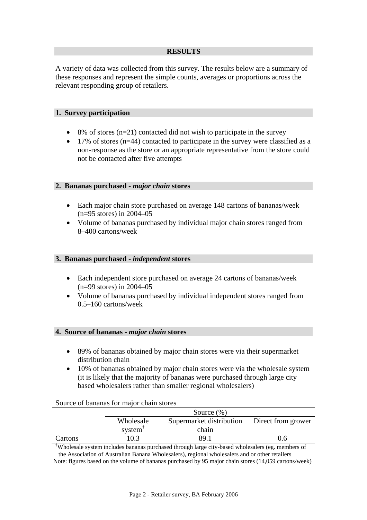## **RESULTS**

A variety of data was collected from this survey. The results below are a summary of these responses and represent the simple counts, averages or proportions across the relevant responding group of retailers.

## **1. Survey participation**

- $8\%$  of stores (n=21) contacted did not wish to participate in the survey
- 17% of stores  $(n=44)$  contacted to participate in the survey were classified as a non-response as the store or an appropriate representative from the store could not be contacted after five attempts

## **2. Bananas purchased -** *major chain* **stores**

- Each major chain store purchased on average 148 cartons of bananas/week (n=95 stores) in 2004–05
- Volume of bananas purchased by individual major chain stores ranged from 8–400 cartons/week

### **3. Bananas purchased -** *independent* **stores**

- Each independent store purchased on average 24 cartons of bananas/week (n=99 stores) in 2004–05
- Volume of bananas purchased by individual independent stores ranged from 0.5–160 cartons/week

#### **4. Source of bananas -** *major chain* **stores**

- 89% of bananas obtained by major chain stores were via their supermarket distribution chain
- 10% of bananas obtained by major chain stores were via the wholesale system (it is likely that the majority of bananas were purchased through large city based wholesalers rather than smaller regional wholesalers)

#### Source of bananas for major chain stores

|         | Source $(\%)$                                               |       |     |  |
|---------|-------------------------------------------------------------|-------|-----|--|
|         | Wholesale<br>Supermarket distribution<br>Direct from grower |       |     |  |
|         | system                                                      | chain |     |  |
| Cartons | 10.3                                                        | 89.1  | J.O |  |

† Wholesale system includes bananas purchased through large city-based wholesalers (eg. members of the Association of Australian Banana Wholesalers), regional wholesalers and or other retailers

Note: figures based on the volume of bananas purchased by 95 major chain stores (14,059 cartons/week)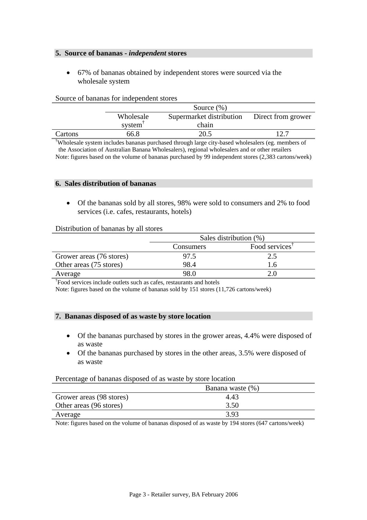## **5. Source of bananas -** *independent* **stores**

• 67% of bananas obtained by independent stores were sourced via the wholesale system

|         |           | Source $(\% )$                                 |  |  |
|---------|-----------|------------------------------------------------|--|--|
|         | Wholesale | Supermarket distribution<br>Direct from grower |  |  |
|         | system    | chain                                          |  |  |
| Cartons | 66.8      | 20.5                                           |  |  |

#### Source of bananas for independent stores

† Wholesale system includes bananas purchased through large city-based wholesalers (eg. members of the Association of Australian Banana Wholesalers), regional wholesalers and or other retailers Note: figures based on the volume of bananas purchased by 99 independent stores (2,383 cartons/week)

#### **6. Sales distribution of bananas**

• Of the bananas sold by all stores, 98% were sold to consumers and 2% to food services (i.e. cafes, restaurants, hotels)

## Distribution of bananas by all stores

|                          | Sales distribution (%)                  |     |  |
|--------------------------|-----------------------------------------|-----|--|
|                          | Food services <sup>1</sup><br>Consumers |     |  |
| Grower areas (76 stores) | 97.5                                    | 2.5 |  |
| Other areas (75 stores)  | 98.4                                    | 1.6 |  |
| 98.0<br>Average          |                                         | 20  |  |

† Food services include outlets such as cafes, restaurants and hotels

Note: figures based on the volume of bananas sold by 151 stores (11,726 cartons/week)

#### **7. Bananas disposed of as waste by store location**

- Of the bananas purchased by stores in the grower areas, 4.4% were disposed of as waste
- Of the bananas purchased by stores in the other areas, 3.5% were disposed of as waste

#### Percentage of bananas disposed of as waste by store location

|                          | Banana waste (%) |
|--------------------------|------------------|
| Grower areas (98 stores) | 4.43             |
| Other areas (96 stores)  | 3.50             |
| Average                  | 3.93             |

Note: figures based on the volume of bananas disposed of as waste by 194 stores (647 cartons/week)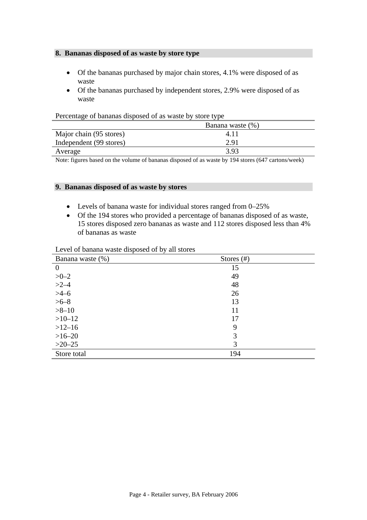## **8. Bananas disposed of as waste by store type**

- Of the bananas purchased by major chain stores, 4.1% were disposed of as waste
- Of the bananas purchased by independent stores, 2.9% were disposed of as waste

| ຼ                       |                  |  |
|-------------------------|------------------|--|
|                         | Banana waste (%) |  |
| Major chain (95 stores) | 4.11             |  |
| Independent (99 stores) | 2.91             |  |
| Average                 | 3.93             |  |

## Percentage of bananas disposed of as waste by store type

Note: figures based on the volume of bananas disposed of as waste by 194 stores (647 cartons/week)

### **9. Bananas disposed of as waste by stores**

- Levels of banana waste for individual stores ranged from 0–25%
- Of the 194 stores who provided a percentage of bananas disposed of as waste, 15 stores disposed zero bananas as waste and 112 stores disposed less than 4% of bananas as waste

| Banana waste (%) | Stores $(\#)$ |  |
|------------------|---------------|--|
| $\theta$         | 15            |  |
| $>0-2$           | 49            |  |
| $>2-4$           | 48            |  |
| $>4-6$           | 26            |  |
| $>6-8$           | 13            |  |
| $>8 - 10$        | 11            |  |
| $>10-12$         | 17            |  |
| $>12-16$         | 9             |  |
| $>16-20$         | 3             |  |
| $>20-25$         | 3             |  |
| Store total      | 194           |  |

## Level of banana waste disposed of by all stores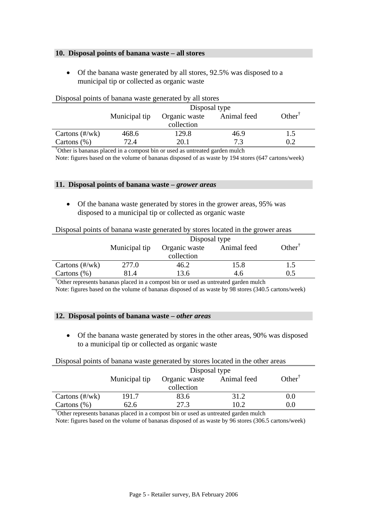## **10. Disposal points of banana waste – all stores**

• Of the banana waste generated by all stores, 92.5% was disposed to a municipal tip or collected as organic waste

|                          | Disposal politis of banana waste generated by all stores |               |             |                                        |  |
|--------------------------|----------------------------------------------------------|---------------|-------------|----------------------------------------|--|
|                          | Disposal type                                            |               |             |                                        |  |
|                          | Municipal tip                                            | Organic waste | Animal feed | Other <sup><math>\bar{\ }</math></sup> |  |
|                          |                                                          | collection    |             |                                        |  |
| Cartons $(\frac{H}{Wk})$ | 468.6                                                    | 129.8         | 46.9        | 1.5                                    |  |
| Cartons $(\%)$           | 72.4                                                     | 20.1          | 73          | 0.2                                    |  |

## Disposal points of banana waste generated by all stores

† Other is bananas placed in a compost bin or used as untreated garden mulch

Note: figures based on the volume of bananas disposed of as waste by 194 stores (647 cartons/week)

#### **11. Disposal points of banana waste –** *grower areas*

• Of the banana waste generated by stores in the grower areas, 95% was disposed to a municipal tip or collected as organic waste

#### Disposal points of banana waste generated by stores located in the grower areas

|                          | Disposal type |               |             |                   |
|--------------------------|---------------|---------------|-------------|-------------------|
|                          | Municipal tip | Organic waste | Animal feed | $Other^{\dagger}$ |
|                          |               | collection    |             |                   |
| Cartons $(\frac{H}{Wk})$ | 277.0         | 46.2          | 15.8        | 1.5               |
| Cartons $(\%)$           | 81.4          | 13.6          | 4.6         | 0.5               |

† Other represents bananas placed in a compost bin or used as untreated garden mulch

Note: figures based on the volume of bananas disposed of as waste by 98 stores (340.5 cartons/week)

#### **12. Disposal points of banana waste –** *other areas*

• Of the banana waste generated by stores in the other areas, 90% was disposed to a municipal tip or collected as organic waste

| Disposal points of banana waste generated by stores located in the other areas |               |               |             |                                       |
|--------------------------------------------------------------------------------|---------------|---------------|-------------|---------------------------------------|
|                                                                                | Disposal type |               |             |                                       |
|                                                                                | Municipal tip | Organic waste | Animal feed | Other <sup><math>\bar{ }</math></sup> |
|                                                                                |               | collection    |             |                                       |
| Cartons $(\frac{H}{Wk})$                                                       | 191.7         | 83.6          | 31.2        | 0.0                                   |
| Cartons $(\%)$                                                                 | 62.6          | 27.3          | 10.2        | 0.0                                   |
|                                                                                |               |               |             |                                       |

† Other represents bananas placed in a compost bin or used as untreated garden mulch

Note: figures based on the volume of bananas disposed of as waste by 96 stores (306.5 cartons/week)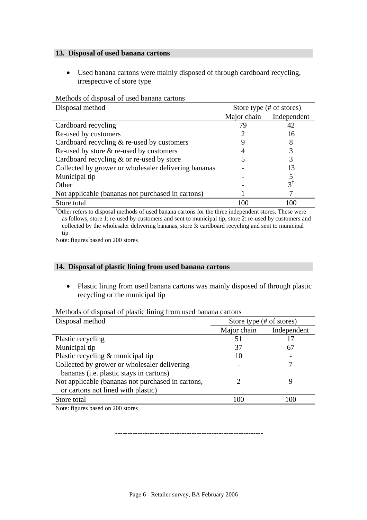## **13. Disposal of used banana cartons**

• Used banana cartons were mainly disposed of through cardboard recycling, irrespective of store type

| Disposal method                                      | Store type (# of stores) |               |
|------------------------------------------------------|--------------------------|---------------|
|                                                      | Major chain              | Independent   |
| Cardboard recycling                                  | 79                       | 42            |
| Re-used by customers                                 |                          | 16            |
| Cardboard recycling & re-used by customers           |                          |               |
| Re-used by store $\&$ re-used by customers           |                          |               |
| Cardboard recycling $\&$ or re-used by store         |                          |               |
| Collected by grower or wholesaler delivering bananas |                          | 13            |
| Municipal tip                                        |                          |               |
| Other                                                |                          | $\mathcal{E}$ |
| Not applicable (bananas not purchased in cartons)    |                          |               |
| Store total                                          | 100                      | 100           |

Methods of disposal of used banana cartons

† Other refers to disposal methods of used banana cartons for the three independent stores. These were as follows, store 1: re-used by customers and sent to municipal tip, store 2: re-used by customers and collected by the wholesaler delivering bananas, store 3: cardboard recycling and sent to municipal tip

Note: figures based on 200 stores

## **14. Disposal of plastic lining from used banana cartons**

• Plastic lining from used banana cartons was mainly disposed of through plastic recycling or the municipal tip

Methods of disposal of plastic lining from used banana cartons

| Disposal method                                   | Store type (# of stores) |             |
|---------------------------------------------------|--------------------------|-------------|
|                                                   | Major chain              | Independent |
| Plastic recycling                                 | 51                       | 17          |
| Municipal tip                                     | 37                       | 67          |
| Plastic recycling $&$ municipal tip               | 10                       |             |
| Collected by grower or wholesaler delivering      |                          |             |
| bananas ( <i>i.e.</i> plastic stays in cartons)   |                          |             |
| Not applicable (bananas not purchased in cartons, |                          | g           |
| or cartons not lined with plastic)                |                          |             |
| Store total                                       | 100                      | 100         |
|                                                   |                          |             |

Note: figures based on 200 stores

------------------------------------------------------------